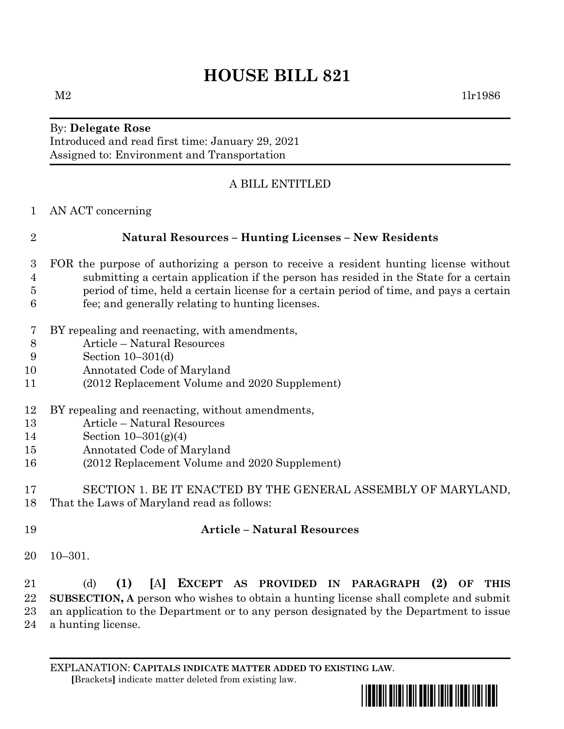# **HOUSE BILL 821**

By: **Delegate Rose** Introduced and read first time: January 29, 2021 Assigned to: Environment and Transportation

## A BILL ENTITLED

AN ACT concerning

### **Natural Resources – Hunting Licenses – New Residents**

- FOR the purpose of authorizing a person to receive a resident hunting license without submitting a certain application if the person has resided in the State for a certain period of time, held a certain license for a certain period of time, and pays a certain fee; and generally relating to hunting licenses.
- BY repealing and reenacting, with amendments,
- Article Natural Resources
- Section 10–301(d)
- Annotated Code of Maryland
- (2012 Replacement Volume and 2020 Supplement)
- BY repealing and reenacting, without amendments,
- Article Natural Resources
- Section 10–301(g)(4)
- Annotated Code of Maryland
- (2012 Replacement Volume and 2020 Supplement)
- SECTION 1. BE IT ENACTED BY THE GENERAL ASSEMBLY OF MARYLAND, That the Laws of Maryland read as follows:
- 

#### **Article – Natural Resources**

10–301.

 (d) **(1) [**A**] EXCEPT AS PROVIDED IN PARAGRAPH (2) OF THIS SUBSECTION, A** person who wishes to obtain a hunting license shall complete and submit an application to the Department or to any person designated by the Department to issue a hunting license.

EXPLANATION: **CAPITALS INDICATE MATTER ADDED TO EXISTING LAW**.  **[**Brackets**]** indicate matter deleted from existing law.

\*hb0821\*